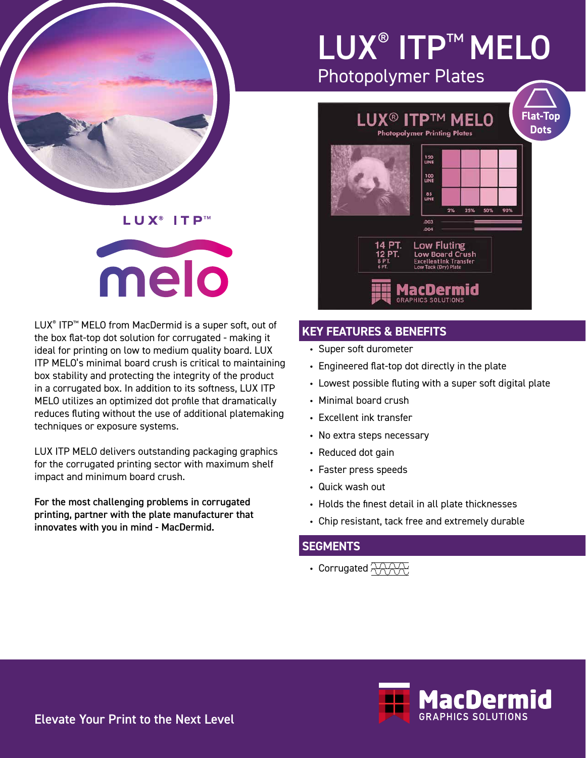

## LUX<sup>®</sup> ITP™

# melo

LUX® ITP™ MELO from MacDermid is a super soft, out of the box flat-top dot solution for corrugated - making it ideal for printing on low to medium quality board. LUX ITP MELO's minimal board crush is critical to maintaining box stability and protecting the integrity of the product in a corrugated box. In addition to its softness, LUX ITP MELO utilizes an optimized dot profile that dramatically reduces fluting without the use of additional platemaking techniques or exposure systems.

LUX ITP MELO delivers outstanding packaging graphics for the corrugated printing sector with maximum shelf impact and minimum board crush.

For the most challenging problems in corrugated printing, partner with the plate manufacturer that innovates with you in mind - MacDermid.

## LUX® ITP™ MELO Photopolymer Plates

**Dots** 

## **Flat-Top** LUX® ITP™ MELO **Photopolymer Printing Plates** 120<br>UNE **100**<br>UNE 85<br>LINE  $003$ Low Fluting

Low Board Crush

**Excellent Ink Transfe** 

acDermid

## **KEY FEATURES & BENEFITS**

- Super soft durometer
- Engineered flat-top dot directly in the plate
- Lowest possible fluting with a super soft digital plate
- Minimal board crush
- Excellent ink transfer
- No extra steps necessary
- Reduced dot gain
- Faster press speeds
- Quick wash out
- Holds the finest detail in all plate thicknesses
- Chip resistant, tack free and extremely durable

### **SEGMENTS**

• Corrugated  $\overline{\gamma\gamma\gamma\gamma}$